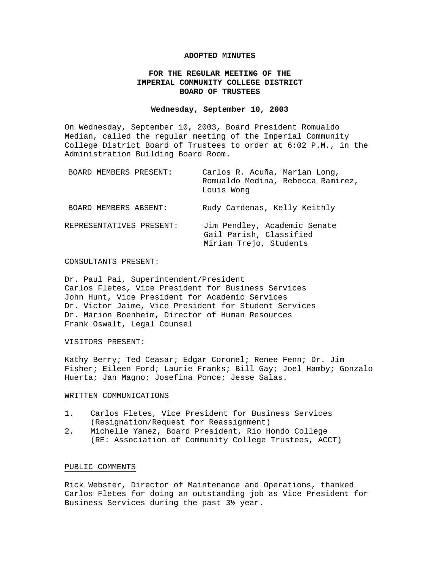#### **ADOPTED MINUTES**

# **FOR THE REGULAR MEETING OF THE IMPERIAL COMMUNITY COLLEGE DISTRICT BOARD OF TRUSTEES**

#### **Wednesday, September 10, 2003**

On Wednesday, September 10, 2003, Board President Romualdo Median, called the regular meeting of the Imperial Community College District Board of Trustees to order at 6:02 P.M., in the Administration Building Board Room.

| BOARD MEMBERS PRESENT:   | Carlos R. Acuña, Marian Long,<br>Romualdo Medina, Rebecca Ramirez,<br>Louis Wong  |
|--------------------------|-----------------------------------------------------------------------------------|
| BOARD MEMBERS ABSENT:    | Rudy Cardenas, Kelly Keithly                                                      |
| REPRESENTATIVES PRESENT: | Jim Pendley, Academic Senate<br>Gail Parish, Classified<br>Miriam Trejo, Students |

#### CONSULTANTS PRESENT:

Dr. Paul Pai, Superintendent/President Carlos Fletes, Vice President for Business Services John Hunt, Vice President for Academic Services Dr. Victor Jaime, Vice President for Student Services Dr. Marion Boenheim, Director of Human Resources Frank Oswalt, Legal Counsel

#### VISITORS PRESENT:

Kathy Berry; Ted Ceasar; Edgar Coronel; Renee Fenn; Dr. Jim Fisher; Eileen Ford; Laurie Franks; Bill Gay; Joel Hamby; Gonzalo Huerta; Jan Magno; Josefina Ponce; Jesse Salas.

#### WRITTEN COMMUNICATIONS

- 1. Carlos Fletes, Vice President for Business Services (Resignation/Request for Reassignment)
- 2. Michelle Yanez, Board President, Rio Hondo College (RE: Association of Community College Trustees, ACCT)

#### PUBLIC COMMENTS

Rick Webster, Director of Maintenance and Operations, thanked Carlos Fletes for doing an outstanding job as Vice President for Business Services during the past 3½ year.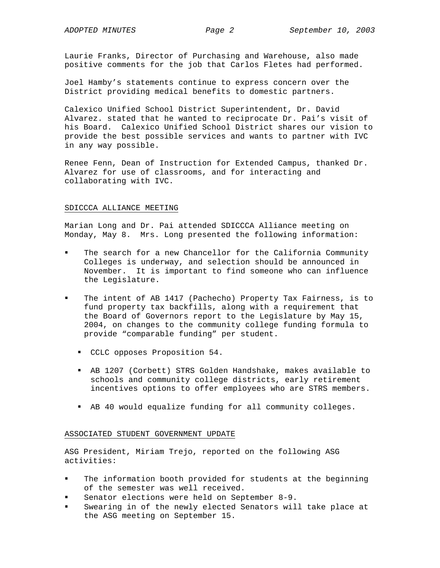Laurie Franks, Director of Purchasing and Warehouse, also made positive comments for the job that Carlos Fletes had performed.

Joel Hamby's statements continue to express concern over the District providing medical benefits to domestic partners.

Calexico Unified School District Superintendent, Dr. David Alvarez. stated that he wanted to reciprocate Dr. Pai's visit of his Board. Calexico Unified School District shares our vision to provide the best possible services and wants to partner with IVC in any way possible.

Renee Fenn, Dean of Instruction for Extended Campus, thanked Dr. Alvarez for use of classrooms, and for interacting and collaborating with IVC.

## SDICCCA ALLIANCE MEETING

Marian Long and Dr. Pai attended SDICCCA Alliance meeting on Monday, May 8. Mrs. Long presented the following information:

- The search for a new Chancellor for the California Community Colleges is underway, and selection should be announced in November. It is important to find someone who can influence the Legislature.
- The intent of AB 1417 (Pachecho) Property Tax Fairness, is to fund property tax backfills, along with a requirement that the Board of Governors report to the Legislature by May 15, 2004, on changes to the community college funding formula to provide "comparable funding" per student.
	- CCLC opposes Proposition 54.
	- AB 1207 (Corbett) STRS Golden Handshake, makes available to schools and community college districts, early retirement incentives options to offer employees who are STRS members.
	- AB 40 would equalize funding for all community colleges.

# ASSOCIATED STUDENT GOVERNMENT UPDATE

ASG President, Miriam Trejo, reported on the following ASG activities:

- The information booth provided for students at the beginning of the semester was well received.
- Senator elections were held on September 8-9.
- Swearing in of the newly elected Senators will take place at the ASG meeting on September 15.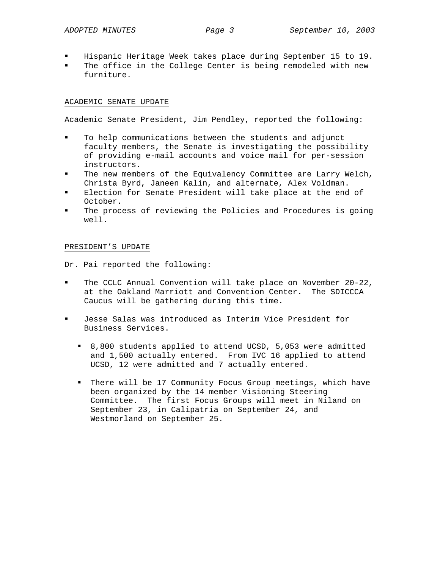- Hispanic Heritage Week takes place during September 15 to 19.
- The office in the College Center is being remodeled with new furniture.

## ACADEMIC SENATE UPDATE

Academic Senate President, Jim Pendley, reported the following:

- To help communications between the students and adjunct faculty members, the Senate is investigating the possibility of providing e-mail accounts and voice mail for per-session instructors.
- The new members of the Equivalency Committee are Larry Welch, Christa Byrd, Janeen Kalin, and alternate, Alex Voldman.
- Election for Senate President will take place at the end of October.
- The process of reviewing the Policies and Procedures is going well.

## PRESIDENT'S UPDATE

Dr. Pai reported the following:

- The CCLC Annual Convention will take place on November 20-22, at the Oakland Marriott and Convention Center. The SDICCCA Caucus will be gathering during this time.
- Jesse Salas was introduced as Interim Vice President for Business Services.
	- 8,800 students applied to attend UCSD, 5,053 were admitted and 1,500 actually entered. From IVC 16 applied to attend UCSD, 12 were admitted and 7 actually entered.
	- There will be 17 Community Focus Group meetings, which have been organized by the 14 member Visioning Steering Committee. The first Focus Groups will meet in Niland on September 23, in Calipatria on September 24, and Westmorland on September 25.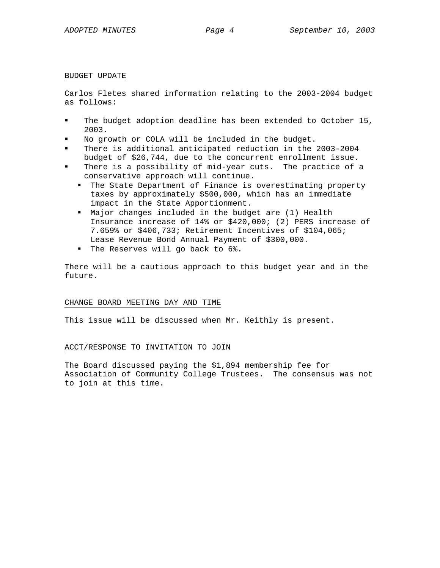#### BUDGET UPDATE

Carlos Fletes shared information relating to the 2003-2004 budget as follows:

- The budget adoption deadline has been extended to October 15, 2003.
- No growth or COLA will be included in the budget.
- There is additional anticipated reduction in the 2003-2004 budget of \$26,744, due to the concurrent enrollment issue.
- There is a possibility of mid-year cuts. The practice of a conservative approach will continue.
	- The State Department of Finance is overestimating property taxes by approximately \$500,000, which has an immediate impact in the State Apportionment.
	- Major changes included in the budget are (1) Health Insurance increase of 14% or \$420,000; (2) PERS increase of 7.659% or \$406,733; Retirement Incentives of \$104,065; Lease Revenue Bond Annual Payment of \$300,000.
	- " The Reserves will go back to 6%.

There will be a cautious approach to this budget year and in the future.

## CHANGE BOARD MEETING DAY AND TIME

This issue will be discussed when Mr. Keithly is present.

## ACCT/RESPONSE TO INVITATION TO JOIN

The Board discussed paying the \$1,894 membership fee for Association of Community College Trustees. The consensus was not to join at this time.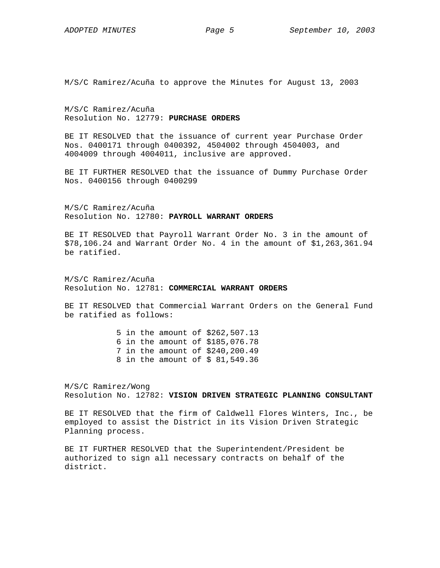M/S/C Ramirez/Acuña to approve the Minutes for August 13, 2003

M/S/C Ramirez/Acuña Resolution No. 12779: **PURCHASE ORDERS**

BE IT RESOLVED that the issuance of current year Purchase Order Nos. 0400171 through 0400392, 4504002 through 4504003, and 4004009 through 4004011, inclusive are approved.

BE IT FURTHER RESOLVED that the issuance of Dummy Purchase Order Nos. 0400156 through 0400299

M/S/C Ramirez/Acuña Resolution No. 12780: **PAYROLL WARRANT ORDERS**

BE IT RESOLVED that Payroll Warrant Order No. 3 in the amount of \$78,106.24 and Warrant Order No. 4 in the amount of \$1,263,361.94 be ratified.

M/S/C Ramirez/Acuña Resolution No. 12781: **COMMERCIAL WARRANT ORDERS**

BE IT RESOLVED that Commercial Warrant Orders on the General Fund be ratified as follows:

> 5 in the amount of \$262,507.13 6 in the amount of \$185,076.78 7 in the amount of \$240,200.49 8 in the amount of \$ 81,549.36

M/S/C Ramirez/Wong Resolution No. 12782: **VISION DRIVEN STRATEGIC PLANNING CONSULTANT** 

BE IT RESOLVED that the firm of Caldwell Flores Winters, Inc., be employed to assist the District in its Vision Driven Strategic Planning process.

BE IT FURTHER RESOLVED that the Superintendent/President be authorized to sign all necessary contracts on behalf of the district.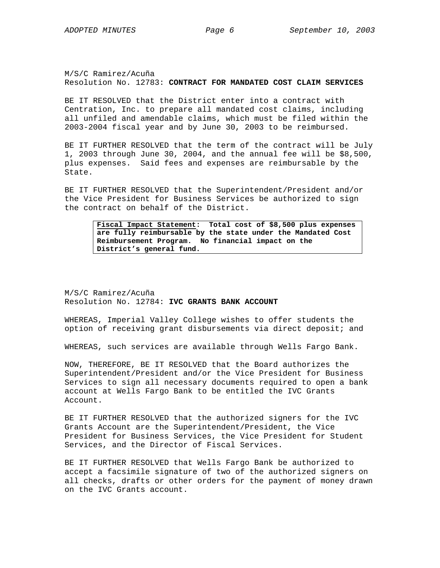M/S/C Ramirez/Acuña Resolution No. 12783: **CONTRACT FOR MANDATED COST CLAIM SERVICES** 

BE IT RESOLVED that the District enter into a contract with Centration, Inc. to prepare all mandated cost claims, including all unfiled and amendable claims, which must be filed within the 2003-2004 fiscal year and by June 30, 2003 to be reimbursed.

BE IT FURTHER RESOLVED that the term of the contract will be July 1, 2003 through June 30, 2004, and the annual fee will be \$8,500, plus expenses. Said fees and expenses are reimbursable by the State.

BE IT FURTHER RESOLVED that the Superintendent/President and/or the Vice President for Business Services be authorized to sign the contract on behalf of the District.

> **Fiscal Impact Statement: Total cost of \$8,500 plus expenses are fully reimbursable by the state under the Mandated Cost Reimbursement Program. No financial impact on the District's general fund.**

M/S/C Ramirez/Acuña Resolution No. 12784: **IVC GRANTS BANK ACCOUNT**

WHEREAS, Imperial Valley College wishes to offer students the option of receiving grant disbursements via direct deposit; and

WHEREAS, such services are available through Wells Fargo Bank.

NOW, THEREFORE, BE IT RESOLVED that the Board authorizes the Superintendent/President and/or the Vice President for Business Services to sign all necessary documents required to open a bank account at Wells Fargo Bank to be entitled the IVC Grants Account.

BE IT FURTHER RESOLVED that the authorized signers for the IVC Grants Account are the Superintendent/President, the Vice President for Business Services, the Vice President for Student Services, and the Director of Fiscal Services.

BE IT FURTHER RESOLVED that Wells Fargo Bank be authorized to accept a facsimile signature of two of the authorized signers on all checks, drafts or other orders for the payment of money drawn on the IVC Grants account.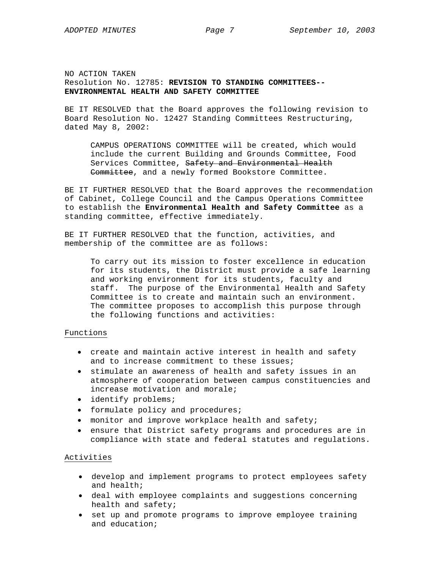NO ACTION TAKEN Resolution No. 12785: **REVISION TO STANDING COMMITTEES-- ENVIRONMENTAL HEALTH AND SAFETY COMMITTEE**

BE IT RESOLVED that the Board approves the following revision to Board Resolution No. 12427 Standing Committees Restructuring, dated May 8, 2002:

CAMPUS OPERATIONS COMMITTEE will be created, which would include the current Building and Grounds Committee, Food Services Committee, Safety and Environmental Health Committee, and a newly formed Bookstore Committee.

BE IT FURTHER RESOLVED that the Board approves the recommendation of Cabinet, College Council and the Campus Operations Committee to establish the **Environmental Health and Safety Committee** as a standing committee, effective immediately.

BE IT FURTHER RESOLVED that the function, activities, and membership of the committee are as follows:

To carry out its mission to foster excellence in education for its students, the District must provide a safe learning and working environment for its students, faculty and staff. The purpose of the Environmental Health and Safety Committee is to create and maintain such an environment. The committee proposes to accomplish this purpose through the following functions and activities:

## Functions

- create and maintain active interest in health and safety and to increase commitment to these issues;
- stimulate an awareness of health and safety issues in an atmosphere of cooperation between campus constituencies and increase motivation and morale;
- identify problems;
- formulate policy and procedures;
- monitor and improve workplace health and safety;
- ensure that District safety programs and procedures are in compliance with state and federal statutes and regulations.

## Activities

- develop and implement programs to protect employees safety and health;
- deal with employee complaints and suggestions concerning health and safety;
- set up and promote programs to improve employee training and education;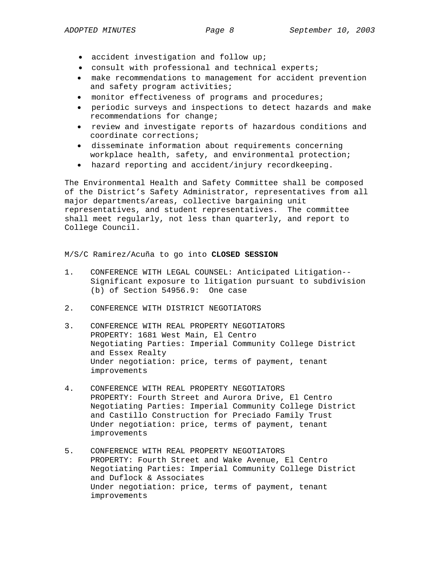- accident investigation and follow up;
- consult with professional and technical experts;
- make recommendations to management for accident prevention and safety program activities;
- monitor effectiveness of programs and procedures;
- periodic surveys and inspections to detect hazards and make recommendations for change;
- review and investigate reports of hazardous conditions and coordinate corrections;
- disseminate information about requirements concerning workplace health, safety, and environmental protection;
- hazard reporting and accident/injury recordkeeping.

The Environmental Health and Safety Committee shall be composed of the District's Safety Administrator, representatives from all major departments/areas, collective bargaining unit representatives, and student representatives. The committee shall meet regularly, not less than quarterly, and report to College Council.

M/S/C Ramirez/Acuña to go into **CLOSED SESSION** 

- 1. CONFERENCE WITH LEGAL COUNSEL: Anticipated Litigation-- Significant exposure to litigation pursuant to subdivision (b) of Section 54956.9: One case
- 2. CONFERENCE WITH DISTRICT NEGOTIATORS
- 3. CONFERENCE WITH REAL PROPERTY NEGOTIATORS PROPERTY: 1681 West Main, El Centro Negotiating Parties: Imperial Community College District and Essex Realty Under negotiation: price, terms of payment, tenant improvements
- 4. CONFERENCE WITH REAL PROPERTY NEGOTIATORS PROPERTY: Fourth Street and Aurora Drive, El Centro Negotiating Parties: Imperial Community College District and Castillo Construction for Preciado Family Trust Under negotiation: price, terms of payment, tenant improvements
- 5. CONFERENCE WITH REAL PROPERTY NEGOTIATORS PROPERTY: Fourth Street and Wake Avenue, El Centro Negotiating Parties: Imperial Community College District and Duflock & Associates Under negotiation: price, terms of payment, tenant improvements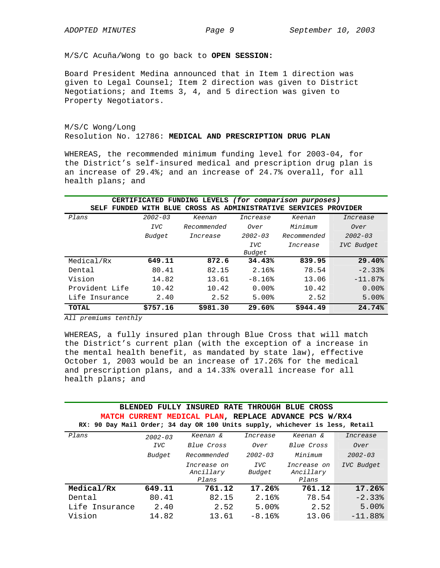M/S/C Acuña/Wong to go back to **OPEN SESSION:** 

Board President Medina announced that in Item 1 direction was given to Legal Counsel; Item 2 direction was given to District Negotiations; and Items 3, 4, and 5 direction was given to Property Negotiators.

# M/S/C Wong/Long Resolution No. 12786: **MEDICAL AND PRESCRIPTION DRUG PLAN**

WHEREAS, the recommended minimum funding level for 2003-04, for the District's self-insured medical and prescription drug plan is an increase of 29.4%; and an increase of 24.7% overall, for all health plans; and

| CERTIFICATED FUNDING LEVELS (for comparison purposes) |             |                         |             |                   |             |
|-------------------------------------------------------|-------------|-------------------------|-------------|-------------------|-------------|
| SELF<br>FUNDED                                        | WITH BLUE   | CROSS AS ADMINISTRATIVE |             | SERVICES PROVIDER |             |
| Plans                                                 | $2002 - 03$ | Keenan                  | Increase    | Keenan            | Increase    |
|                                                       | <b>IVC</b>  | Recommended             | Over        | $M$ i ni mum      | Over        |
|                                                       | Budget      | Increase                | $2002 - 03$ | Recommended       | $2002 - 03$ |
|                                                       |             |                         | <b>IVC</b>  | Increase          | IVC Budget  |
|                                                       |             |                         | Budget      |                   |             |
| Medical/Rx                                            | 649.11      | 872.6                   | 34.43%      | 839.95            | 29.40%      |
| Dental                                                | 80.41       | 82.15                   | 2.16%       | 78.54             | $-2.33%$    |
| Vision                                                | 14.82       | 13.61                   | $-8.16%$    | 13.06             | $-11.87%$   |
| Provident Life                                        | 10.42       | 10.42                   | 0.00%       | 10.42             | $0.00$ $%$  |
| Life Insurance                                        | 2.40        | 2.52                    | 5.00%       | 2.52              | 5.00%       |
| TOTAL                                                 | \$757.16    | \$981.30                | 29.60%      | \$944.49          | 24.74%      |

*All premiums tenthly* 

WHEREAS, a fully insured plan through Blue Cross that will match the District's current plan (with the exception of a increase in the mental health benefit, as mandated by state law), effective October 1, 2003 would be an increase of 17.26% for the medical and prescription plans, and a 14.33% overall increase for all health plans; and

# **BLENDED FULLY INSURED RATE THROUGH BLUE CROSS MATCH CURRENT MEDICAL PLAN, REPLACE ADVANCE PCS W/RX4 RX: 90 Day Mail Order; 34 day OR 100 Units supply, whichever is less, Retail**

| Plans          | $2002 - 03$ | Keenan &                          | Increase             | Keenan &                          | Increase    |
|----------------|-------------|-----------------------------------|----------------------|-----------------------------------|-------------|
|                | <b>IVC</b>  | Blue Cross                        | Over                 | Blue Cross                        | Over        |
|                | Budget      | Recommended                       | $2002 - 03$          | Minimum                           | $2002 - 03$ |
|                |             | Increase on<br>Ancillary<br>Plans | <b>IVC</b><br>Budget | Increase on<br>Ancillary<br>Plans | IVC Budget  |
| Medical/Rx     | 649.11      | 761.12                            | 17.26%               | 761.12                            | 17.26%      |
| Dental         | 80.41       | 82.15                             | 2.16%                | 78.54                             | $-2.33$     |
| Life Insurance | 2.40        | 2.52                              | 5.00%                | 2.52                              | 5.00%       |
| Vision         | 14.82       | 13.61                             | $-8.16%$             | 13.06                             | $-11.88%$   |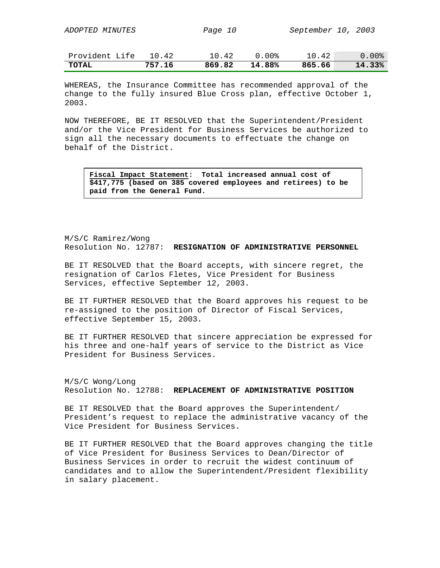| TOTAL                  | 757.16 | 869.82         | 14.88% | 865.66             | 14.33%   |
|------------------------|--------|----------------|--------|--------------------|----------|
| Provident Life         | 10.42  | 10.42          | 0.00%  | 10.42              | $0.00\%$ |
|                        |        |                |        |                    |          |
| <i>ADOPTED MINUTES</i> |        | <i>Page 10</i> |        | September 10, 2003 |          |

WHEREAS, the Insurance Committee has recommended approval of the change to the fully insured Blue Cross plan, effective October 1, 2003.

NOW THEREFORE, BE IT RESOLVED that the Superintendent/President and/or the Vice President for Business Services be authorized to sign all the necessary documents to effectuate the change on behalf of the District.

**Fiscal Impact Statement: Total increased annual cost of \$417,775 (based on 385 covered employees and retirees) to be paid from the General Fund.** 

M/S/C Ramirez/Wong Resolution No. 12787: **RESIGNATION OF ADMINISTRATIVE PERSONNEL** 

BE IT RESOLVED that the Board accepts, with sincere regret, the resignation of Carlos Fletes, Vice President for Business Services, effective September 12, 2003.

BE IT FURTHER RESOLVED that the Board approves his request to be re-assigned to the position of Director of Fiscal Services, effective September 15, 2003.

BE IT FURTHER RESOLVED that sincere appreciation be expressed for his three and one-half years of service to the District as Vice President for Business Services.

M/S/C Wong/Long Resolution No. 12788: **REPLACEMENT OF ADMINISTRATIVE POSITION** 

BE IT RESOLVED that the Board approves the Superintendent/ President's request to replace the administrative vacancy of the Vice President for Business Services.

BE IT FURTHER RESOLVED that the Board approves changing the title of Vice President for Business Services to Dean/Director of Business Services in order to recruit the widest continuum of candidates and to allow the Superintendent/President flexibility in salary placement.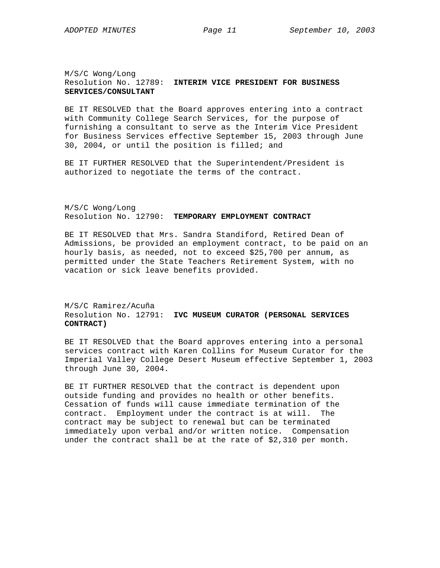## M/S/C Wong/Long Resolution No. 12789: **INTERIM VICE PRESIDENT FOR BUSINESS SERVICES/CONSULTANT**

BE IT RESOLVED that the Board approves entering into a contract with Community College Search Services, for the purpose of furnishing a consultant to serve as the Interim Vice President for Business Services effective September 15, 2003 through June 30, 2004, or until the position is filled; and

BE IT FURTHER RESOLVED that the Superintendent/President is authorized to negotiate the terms of the contract.

M/S/C Wong/Long Resolution No. 12790: **TEMPORARY EMPLOYMENT CONTRACT** 

BE IT RESOLVED that Mrs. Sandra Standiford, Retired Dean of Admissions, be provided an employment contract, to be paid on an hourly basis, as needed, not to exceed \$25,700 per annum, as permitted under the State Teachers Retirement System, with no vacation or sick leave benefits provided.

# M/S/C Ramirez/Acuña Resolution No. 12791: **IVC MUSEUM CURATOR (PERSONAL SERVICES CONTRACT)**

BE IT RESOLVED that the Board approves entering into a personal services contract with Karen Collins for Museum Curator for the Imperial Valley College Desert Museum effective September 1, 2003 through June 30, 2004.

BE IT FURTHER RESOLVED that the contract is dependent upon outside funding and provides no health or other benefits. Cessation of funds will cause immediate termination of the contract. Employment under the contract is at will. The contract may be subject to renewal but can be terminated immediately upon verbal and/or written notice. Compensation under the contract shall be at the rate of \$2,310 per month.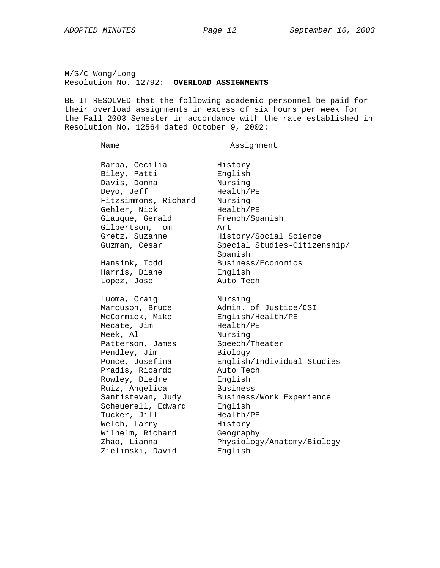M/S/C Wong/Long Resolution No. 12792: **OVERLOAD ASSIGNMENTS**

BE IT RESOLVED that the following academic personnel be paid for their overload assignments in excess of six hours per week for the Fall 2003 Semester in accordance with the rate established in Resolution No. 12564 dated October 9, 2002:

Name **Assignment** 

| Barba, Cecilia       | History                      |
|----------------------|------------------------------|
| Biley, Patti         | English                      |
| Davis, Donna         | Nursing                      |
| Deyo, Jeff           | Health/PE                    |
| Fitzsimmons, Richard | Nursing                      |
| Gehler, Nick         | Health/PE                    |
| Giauque, Gerald      | French/Spanish               |
| Gilbertson, Tom      | Art                          |
| Gretz, Suzanne       | History/Social Science       |
| Guzman, Cesar        | Special Studies-Citizenship/ |
|                      | Spanish                      |
| Hansink, Todd        | Business/Economics           |
| Harris, Diane        | English                      |
| Lopez, Jose          | Auto Tech                    |
|                      |                              |
| Luoma, Craig         | Nursing                      |
| Marcuson, Bruce      | Admin. of Justice/CSI        |
| McCormick, Mike      | English/Health/PE            |
| Mecate, Jim          | Health/PE                    |
| Meek, Al             | Nursing                      |
| Patterson, James     | Speech/Theater               |
| Pendley, Jim         | Biology                      |
| Ponce, Josefina      | English/Individual Studies   |
| Pradis, Ricardo      | Auto Tech                    |
| Rowley, Diedre       | English                      |
| Ruiz, Angelica       | <b>Business</b>              |
| Santistevan, Judy    | Business/Work Experience     |
| Scheuerell, Edward   | English                      |
| Tucker, Jill         | Health/PE                    |
| Welch, Larry         | History                      |
| Wilhelm, Richard     | Geography                    |
| Zhao, Lianna         | Physiology/Anatomy/Biology   |
| Zielinski, David     | English                      |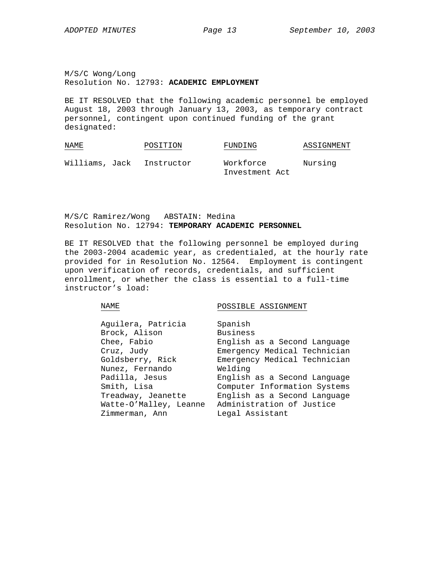M/S/C Wong/Long Resolution No. 12793: **ACADEMIC EMPLOYMENT**

BE IT RESOLVED that the following academic personnel be employed August 18, 2003 through January 13, 2003, as temporary contract personnel, contingent upon continued funding of the grant designated:

| NAME           | POSITION   | FUNDING   | ASSIGNMENT |
|----------------|------------|-----------|------------|
| Williams, Jack | Instructor | Workforce | Nursing    |

M/S/C Ramirez/Wong ABSTAIN: Medina Resolution No. 12794: **TEMPORARY ACADEMIC PERSONNEL**

BE IT RESOLVED that the following personnel be employed during the 2003-2004 academic year, as credentialed, at the hourly rate provided for in Resolution No. 12564. Employment is contingent upon verification of records, credentials, and sufficient enrollment, or whether the class is essential to a full-time instructor's load:

NAME POSSIBLE ASSIGNMENT

Investment Act

| Aguilera, Patricia     | Spanish<br><b>Business</b>   |
|------------------------|------------------------------|
| Brock, Alison          |                              |
| Chee, Fabio            | English as a Second Language |
| Cruz, Judy             | Emergency Medical Technician |
| Goldsberry, Rick       | Emergency Medical Technician |
| Nunez, Fernando        | Welding                      |
| Padilla, Jesus         | English as a Second Language |
| Smith, Lisa            | Computer Information Systems |
| Treadway, Jeanette     | English as a Second Language |
| Watte-O'Malley, Leanne | Administration of Justice    |
| Zimmerman, Ann         | Legal Assistant              |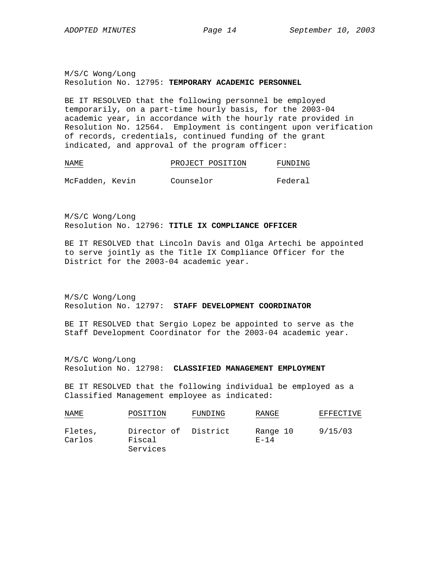M/S/C Wong/Long Resolution No. 12795: **TEMPORARY ACADEMIC PERSONNEL** 

BE IT RESOLVED that the following personnel be employed temporarily, on a part-time hourly basis, for the 2003-04 academic year, in accordance with the hourly rate provided in Resolution No. 12564. Employment is contingent upon verification of records, credentials, continued funding of the grant indicated, and approval of the program officer:

```
NAME PROJECT POSITION FUNDING
```
McFadden, Kevin Counselor Federal

M/S/C Wong/Long Resolution No. 12796: **TITLE IX COMPLIANCE OFFICER** 

BE IT RESOLVED that Lincoln Davis and Olga Artechi be appointed to serve jointly as the Title IX Compliance Officer for the District for the 2003-04 academic year.

M/S/C Wong/Long Resolution No. 12797: **STAFF DEVELOPMENT COORDINATOR**

BE IT RESOLVED that Sergio Lopez be appointed to serve as the Staff Development Coordinator for the 2003-04 academic year.

M/S/C Wong/Long Resolution No. 12798: **CLASSIFIED MANAGEMENT EMPLOYMENT**

BE IT RESOLVED that the following individual be employed as a Classified Management employee as indicated:

| NAME              | POSITION                                   | FUNDING | RANGE                | EFFECTIVE |
|-------------------|--------------------------------------------|---------|----------------------|-----------|
| Fletes,<br>Carlos | Director of District<br>Fiscal<br>Services |         | Range 10<br>$E - 14$ | 9/15/03   |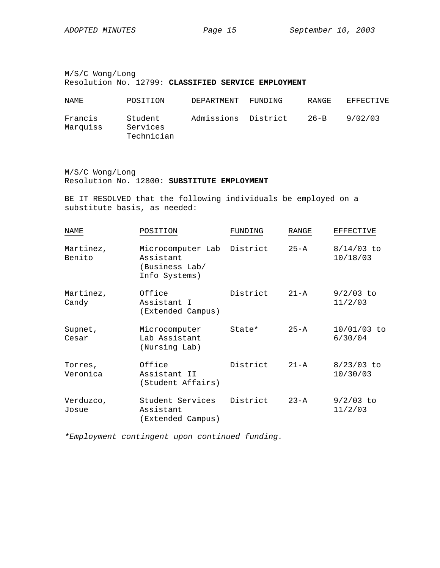M/S/C Wong/Long Resolution No. 12799: **CLASSIFIED SERVICE EMPLOYMENT** 

| NAME<br>$\frac{1}{2} \left( \frac{1}{2} \right) \left( \frac{1}{2} \right) \left( \frac{1}{2} \right) \left( \frac{1}{2} \right) \left( \frac{1}{2} \right) \left( \frac{1}{2} \right) \left( \frac{1}{2} \right) \left( \frac{1}{2} \right) \left( \frac{1}{2} \right) \left( \frac{1}{2} \right) \left( \frac{1}{2} \right) \left( \frac{1}{2} \right) \left( \frac{1}{2} \right) \left( \frac{1}{2} \right) \left( \frac{1}{2} \right) \left( \frac{1}{2} \right) \left( \frac$ | POSITION                          | DEPARTMENT          | FUNDING | RANGE    | EFFECTIVE |
|------------------------------------------------------------------------------------------------------------------------------------------------------------------------------------------------------------------------------------------------------------------------------------------------------------------------------------------------------------------------------------------------------------------------------------------------------------------------------------|-----------------------------------|---------------------|---------|----------|-----------|
| Francis<br>Marquiss                                                                                                                                                                                                                                                                                                                                                                                                                                                                | Student<br>Services<br>Technician | Admissions District |         | $26 - B$ | 9/02/03   |

M/S/C Wong/Long Resolution No. 12800: **SUBSTITUTE EMPLOYMENT**

BE IT RESOLVED that the following individuals be employed on a substitute basis, as needed:

| <b>NAME</b>         | POSITION                                                          | FUNDING  | RANGE    | <b>EFFECTIVE</b>         |
|---------------------|-------------------------------------------------------------------|----------|----------|--------------------------|
| Martinez,<br>Benito | Microcomputer Lab<br>Assistant<br>(Business Lab/<br>Info Systems) | District | 25-A     | $8/14/03$ to<br>10/18/03 |
| Martinez,<br>Candy  | Office<br>Assistant I<br>(Extended Campus)                        | District | $21 - A$ | $9/2/03$ to<br>11/2/03   |
| Supnet,<br>Cesar    | Microcomputer<br>Lab Assistant<br>(Nursing Lab)                   | State*   | $25 - A$ | 10/01/03 to<br>6/30/04   |
| Torres,<br>Veronica | Office<br>Assistant II<br>(Student Affairs)                       | District | $21 - A$ | $8/23/03$ to<br>10/30/03 |
| Verduzco,<br>Josue  | Student Services<br>Assistant<br>(Extended Campus)                | District | $23 - A$ | $9/2/03$ to<br>11/2/03   |

*\*Employment contingent upon continued funding.*